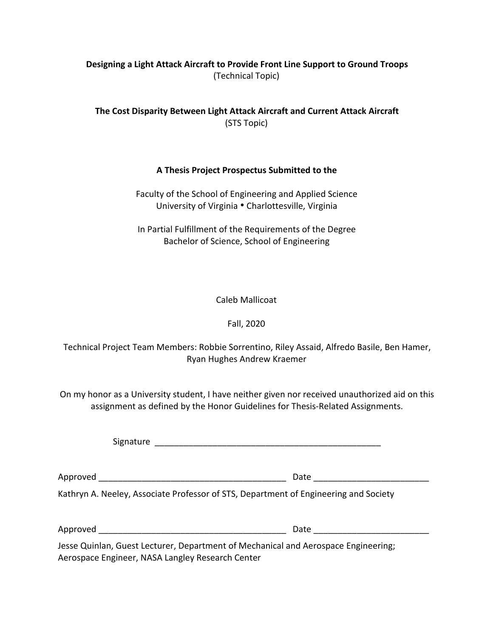# **Designing a Light Attack Aircraft to Provide Front Line Support to Ground Troops** (Technical Topic)

**The Cost Disparity Between Light Attack Aircraft and Current Attack Aircraft** (STS Topic)

## **A Thesis Project Prospectus Submitted to the**

Faculty of the School of Engineering and Applied Science University of Virginia . Charlottesville, Virginia

In Partial Fulfillment of the Requirements of the Degree Bachelor of Science, School of Engineering

Caleb Mallicoat

Fall, 2020

Technical Project Team Members: Robbie Sorrentino, Riley Assaid, Alfredo Basile, Ben Hamer, Ryan Hughes Andrew Kraemer

On my honor as a University student, I have neither given nor received unauthorized aid on this assignment as defined by the Honor Guidelines for Thesis-Related Assignments.

Signature \_\_\_\_\_\_\_\_\_\_\_\_\_\_\_\_\_\_\_\_\_\_\_\_\_\_\_\_\_\_\_\_\_\_\_\_\_\_\_\_\_\_\_\_\_\_\_

Approved \_\_\_\_\_\_\_\_\_\_\_\_\_\_\_\_\_\_\_\_\_\_\_\_\_\_\_\_\_\_\_\_\_\_\_\_\_\_\_ Date \_\_\_\_\_\_\_\_\_\_\_\_\_\_\_\_\_\_\_\_\_\_\_\_

Kathryn A. Neeley, Associate Professor of STS, Department of Engineering and Society

| Αr<br>. .<br>- - |
|------------------|
|------------------|

Jesse Quinlan, Guest Lecturer, Department of Mechanical and Aerospace Engineering; Aerospace Engineer, NASA Langley Research Center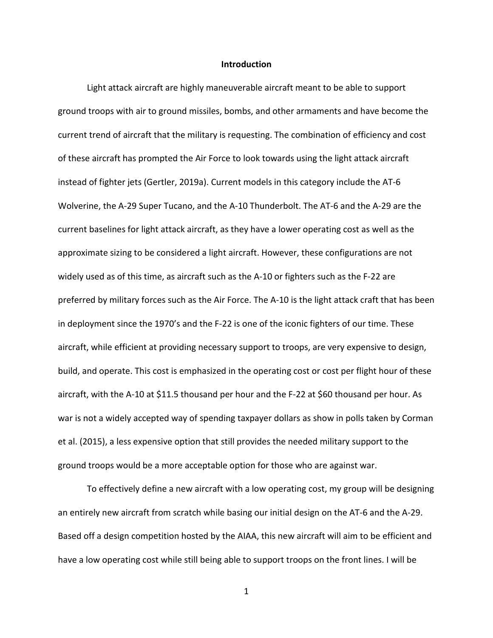#### **Introduction**

Light attack aircraft are highly maneuverable aircraft meant to be able to support ground troops with air to ground missiles, bombs, and other armaments and have become the current trend of aircraft that the military is requesting. The combination of efficiency and cost of these aircraft has prompted the Air Force to look towards using the light attack aircraft instead of fighter jets (Gertler, 2019a). Current models in this category include the AT-6 Wolverine, the A-29 Super Tucano, and the A-10 Thunderbolt. The AT-6 and the A-29 are the current baselines for light attack aircraft, as they have a lower operating cost as well as the approximate sizing to be considered a light aircraft. However, these configurations are not widely used as of this time, as aircraft such as the A-10 or fighters such as the F-22 are preferred by military forces such as the Air Force. The A-10 is the light attack craft that has been in deployment since the 1970's and the F-22 is one of the iconic fighters of our time. These aircraft, while efficient at providing necessary support to troops, are very expensive to design, build, and operate. This cost is emphasized in the operating cost or cost per flight hour of these aircraft, with the A-10 at \$11.5 thousand per hour and the F-22 at \$60 thousand per hour. As war is not a widely accepted way of spending taxpayer dollars as show in polls taken by Corman et al. (2015), a less expensive option that still provides the needed military support to the ground troops would be a more acceptable option for those who are against war.

To effectively define a new aircraft with a low operating cost, my group will be designing an entirely new aircraft from scratch while basing our initial design on the AT-6 and the A-29. Based off a design competition hosted by the AIAA, this new aircraft will aim to be efficient and have a low operating cost while still being able to support troops on the front lines. I will be

 $1 \quad \overline{\quad}$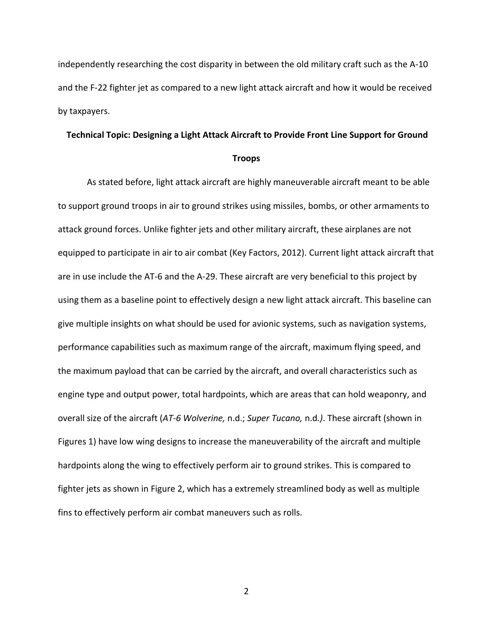independently researching the cost disparity in between the old military craft such as the A-10 and the F-22 fighter jet as compared to a new light attack aircraft and how it would be received by taxpayers.

### **Technical Topic: Designing a Light Attack Aircraft to Provide Front Line Support for Ground**

#### **Troops**

As stated before, light attack aircraft are highly maneuverable aircraft meant to be able to support ground troops in air to ground strikes using missiles, bombs, or other armaments to attack ground forces. Unlike fighter jets and other military aircraft, these airplanes are not equipped to participate in air to air combat (Key Factors, 2012). Current light attack aircraft that are in use include the AT-6 and the A-29. These aircraft are very beneficial to this project by using them as a baseline point to effectively design a new light attack aircraft. This baseline can give multiple insights on what should be used for avionic systems, such as navigation systems, performance capabilities such as maximum range of the aircraft, maximum flying speed, and the maximum payload that can be carried by the aircraft, and overall characteristics such as engine type and output power, total hardpoints, which are areas that can hold weaponry, and overall size of the aircraft (*AT-6 Wolverine,* n.d.; *Super Tucano,* n.d*.)*. These aircraft (shown in Figures 1) have low wing designs to increase the maneuverability of the aircraft and multiple hardpoints along the wing to effectively perform air to ground strikes. This is compared to fighter jets as shown in Figure 2, which has a extremely streamlined body as well as multiple fins to effectively perform air combat maneuvers such as rolls.

2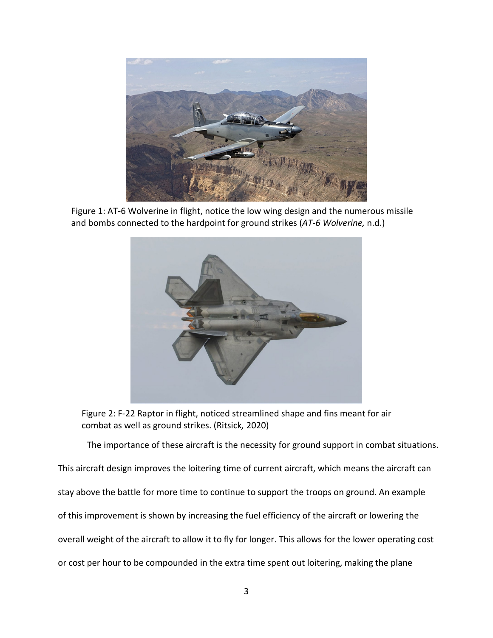

Figure 1: AT-6 Wolverine in flight, notice the low wing design and the numerous missile and bombs connected to the hardpoint for ground strikes (*AT-6 Wolverine,* n.d.)



Figure 2: F-22 Raptor in flight, noticed streamlined shape and fins meant for air combat as well as ground strikes. (Ritsick*,* 2020)

The importance of these aircraft is the necessity for ground support in combat situations.

This aircraft design improves the loitering time of current aircraft, which means the aircraft can stay above the battle for more time to continue to support the troops on ground. An example of this improvement is shown by increasing the fuel efficiency of the aircraft or lowering the overall weight of the aircraft to allow it to fly for longer. This allows for the lower operating cost or cost per hour to be compounded in the extra time spent out loitering, making the plane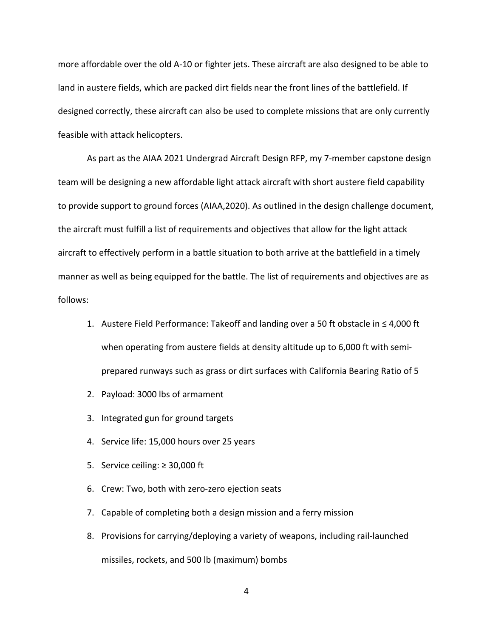more affordable over the old A-10 or fighter jets. These aircraft are also designed to be able to land in austere fields, which are packed dirt fields near the front lines of the battlefield. If designed correctly, these aircraft can also be used to complete missions that are only currently feasible with attack helicopters.

As part as the AIAA 2021 Undergrad Aircraft Design RFP, my 7-member capstone design team will be designing a new affordable light attack aircraft with short austere field capability to provide support to ground forces (AIAA,2020). As outlined in the design challenge document, the aircraft must fulfill a list of requirements and objectives that allow for the light attack aircraft to effectively perform in a battle situation to both arrive at the battlefield in a timely manner as well as being equipped for the battle. The list of requirements and objectives are as follows:

- 1. Austere Field Performance: Takeoff and landing over a 50 ft obstacle in ≤ 4,000 ft when operating from austere fields at density altitude up to 6,000 ft with semiprepared runways such as grass or dirt surfaces with California Bearing Ratio of 5
- 2. Payload: 3000 lbs of armament
- 3. Integrated gun for ground targets
- 4. Service life: 15,000 hours over 25 years
- 5. Service ceiling:  $≥$  30,000 ft
- 6. Crew: Two, both with zero-zero ejection seats
- 7. Capable of completing both a design mission and a ferry mission
- 8. Provisions for carrying/deploying a variety of weapons, including rail-launched missiles, rockets, and 500 lb (maximum) bombs
	- 4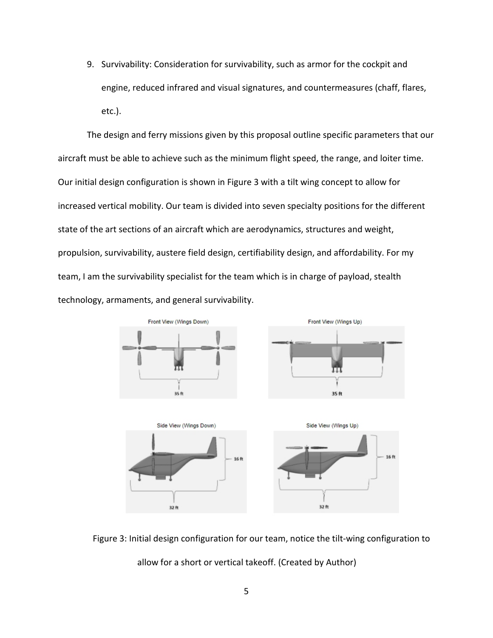9. Survivability: Consideration for survivability, such as armor for the cockpitand engine, reduced infrared and visual signatures, and countermeasures (chaff, flares, etc.).

The design and ferry missions given by this proposal outline specific parameters that our aircraft must be able to achieve such as the minimum flight speed, the range, and loiter time. Our initial design configuration is shown in Figure 3 with a tilt wing concept to allow for increased vertical mobility. Our team is divided into seven specialty positions for the different state of the art sections of an aircraft which are aerodynamics, structures and weight, propulsion, survivability, austere field design, certifiability design, and affordability. For my team, I am the survivability specialist for the team which is in charge of payload, stealth technology, armaments, and general survivability.



Figure 3: Initial design configuration for our team, notice the tilt-wing configuration to allow for a short or vertical takeoff. (Created by Author)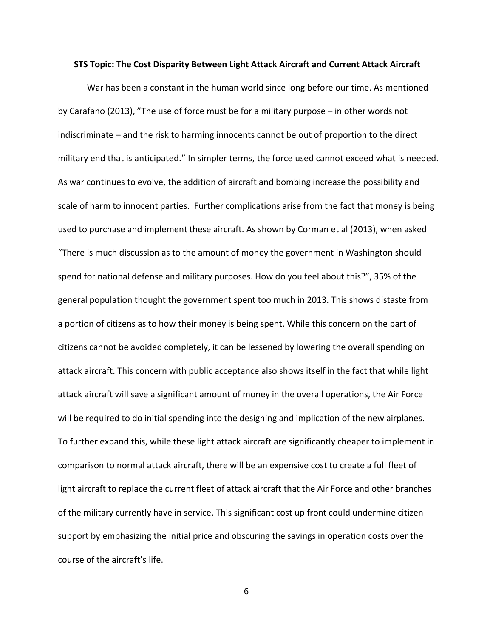#### **STS Topic: The Cost Disparity Between Light Attack Aircraft and Current Attack Aircraft**

War has been a constant in the human world since long before our time. As mentioned by Carafano (2013), "The use of force must be for a military purpose – in other words not indiscriminate – and the risk to harming innocents cannot be out of proportion to the direct military end that is anticipated." In simpler terms, the force used cannot exceed what is needed. As war continues to evolve, the addition of aircraft and bombing increase the possibility and scale of harm to innocent parties. Further complications arise from the fact that money is being used to purchase and implement these aircraft. As shown by Corman et al (2013), when asked "There is much discussion as to the amount of money the government in Washington should spend for national defense and military purposes. How do you feel about this?", 35% of the general population thought the government spent too much in 2013. This shows distaste from a portion of citizens as to how their money is being spent. While this concern on the part of citizens cannot be avoided completely, it can be lessened by lowering the overall spending on attack aircraft. This concern with public acceptance also shows itself in the fact that while light attack aircraft will save a significant amount of money in the overall operations, the Air Force will be required to do initial spending into the designing and implication of the new airplanes. To further expand this, while these light attack aircraft are significantly cheaper to implement in comparison to normal attack aircraft, there will be an expensive cost to create a full fleet of light aircraft to replace the current fleet of attack aircraft that the Air Force and other branches of the military currently have in service. This significant cost up front could undermine citizen support by emphasizing the initial price and obscuring the savings in operation costs over the course of the aircraft's life.

6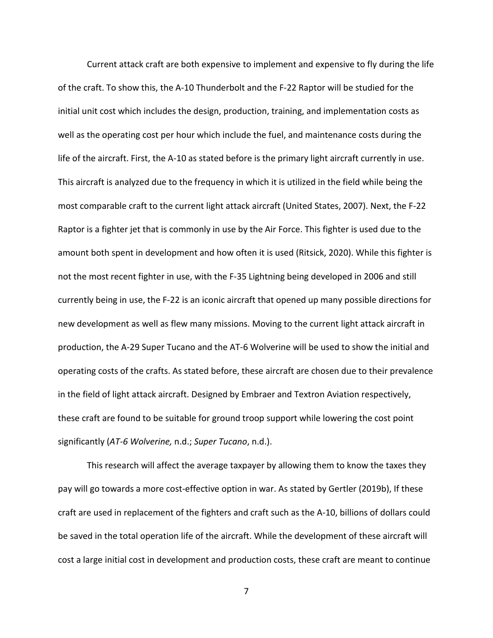Current attack craft are both expensive to implement and expensive to fly during the life of the craft. To show this, the A-10 Thunderbolt and the F-22 Raptor will be studied for the initial unit cost which includes the design, production, training, and implementation costs as well as the operating cost per hour which include the fuel, and maintenance costs during the life of the aircraft. First, the A-10 as stated before is the primary light aircraft currently in use. This aircraft is analyzed due to the frequency in which it is utilized in the field while being the most comparable craft to the current light attack aircraft (United States, 2007). Next, the F-22 Raptor is a fighter jet that is commonly in use by the Air Force. This fighter is used due to the amount both spent in development and how often it is used (Ritsick, 2020). While this fighter is not the most recent fighter in use, with the F-35 Lightning being developed in 2006 and still currently being in use, the F-22 is an iconic aircraft that opened up many possible directions for new development as well as flew many missions. Moving to the current light attack aircraft in production, the A-29 Super Tucano and the AT-6 Wolverine will be used to show the initial and operating costs of the crafts. As stated before, these aircraftare chosen due to their prevalence in the field of light attack aircraft. Designed by Embraer and Textron Aviation respectively, these craft are found to be suitable for ground troop support while lowering the cost point significantly (*AT-6 Wolverine,* n.d.; *Super Tucano*, n.d.).

This research will affect the average taxpayer by allowing them to know the taxes they pay will go towards a more cost-effective option in war. As stated by Gertler (2019b), If these craft are used in replacement of the fighters and craft such as the A-10, billions of dollars could be saved in the total operation life of the aircraft. While the development of these aircraft will cost a large initial cost in development and production costs, these craft are meant to continue

7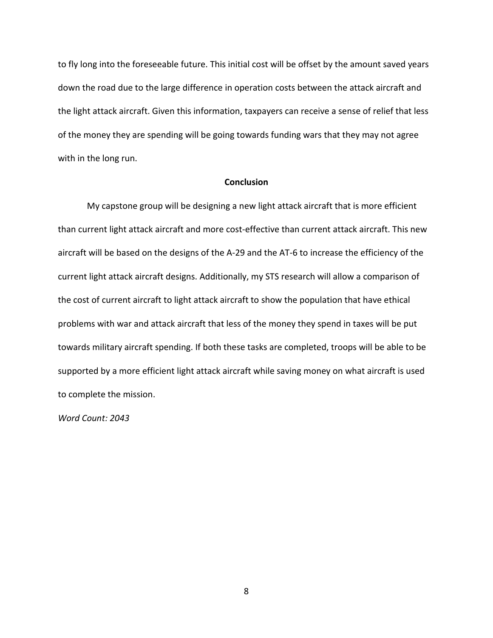to fly long into the foreseeable future. This initial cost will be offset by the amount saved years down the road due to the large difference in operation costs between the attack aircraft and the light attack aircraft. Given this information, taxpayers can receive a sense of relief that less of the money they are spending will be going towards funding wars that they may not agree with in the long run.

## **Conclusion**

My capstone group will be designing a new light attack aircraft that is more efficient than current light attack aircraft and more cost-effective than current attack aircraft. This new aircraft will be based on the designs of the A-29 and the AT-6 to increase the efficiency of the current light attack aircraft designs. Additionally, my STS research will allow a comparison of the cost of current aircraft to light attack aircraft to show the population that have ethical problems with war and attack aircraft that less of the money they spend in taxes will be put towards military aircraft spending. If both these tasks are completed, troops will be able to be supported by a more efficient light attack aircraft while saving money on what aircraft is used to complete the mission.

*Word Count: 2043*

8 and 2010 and 2010 and 2010 and 2010 and 2010 and 2010 and 2010 and 2010 and 2010 and 2010 and 2010 and 2010